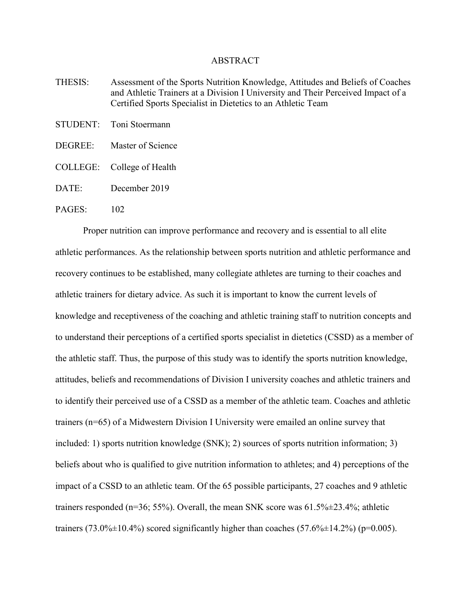## ABSTRACT

- THESIS: Assessment of the Sports Nutrition Knowledge, Attitudes and Beliefs of Coaches and Athletic Trainers at a Division I University and Their Perceived Impact of a Certified Sports Specialist in Dietetics to an Athletic Team
- STUDENT: Toni Stoermann
- DEGREE: Master of Science
- COLLEGE: College of Health
- DATE: December 2019

## PAGES<sup>-</sup> 102

Proper nutrition can improve performance and recovery and is essential to all elite athletic performances. As the relationship between sports nutrition and athletic performance and recovery continues to be established, many collegiate athletes are turning to their coaches and athletic trainers for dietary advice. As such it is important to know the current levels of knowledge and receptiveness of the coaching and athletic training staff to nutrition concepts and to understand their perceptions of a certified sports specialist in dietetics (CSSD) as a member of the athletic staff. Thus, the purpose of this study was to identify the sports nutrition knowledge, attitudes, beliefs and recommendations of Division I university coaches and athletic trainers and to identify their perceived use of a CSSD as a member of the athletic team. Coaches and athletic trainers (n=65) of a Midwestern Division I University were emailed an online survey that included: 1) sports nutrition knowledge (SNK); 2) sources of sports nutrition information; 3) beliefs about who is qualified to give nutrition information to athletes; and 4) perceptions of the impact of a CSSD to an athletic team. Of the 65 possible participants, 27 coaches and 9 athletic trainers responded (n=36; 55%). Overall, the mean SNK score was 61.5%±23.4%; athletic trainers (73.0% $\pm$ 10.4%) scored significantly higher than coaches (57.6% $\pm$ 14.2%) (p=0.005).